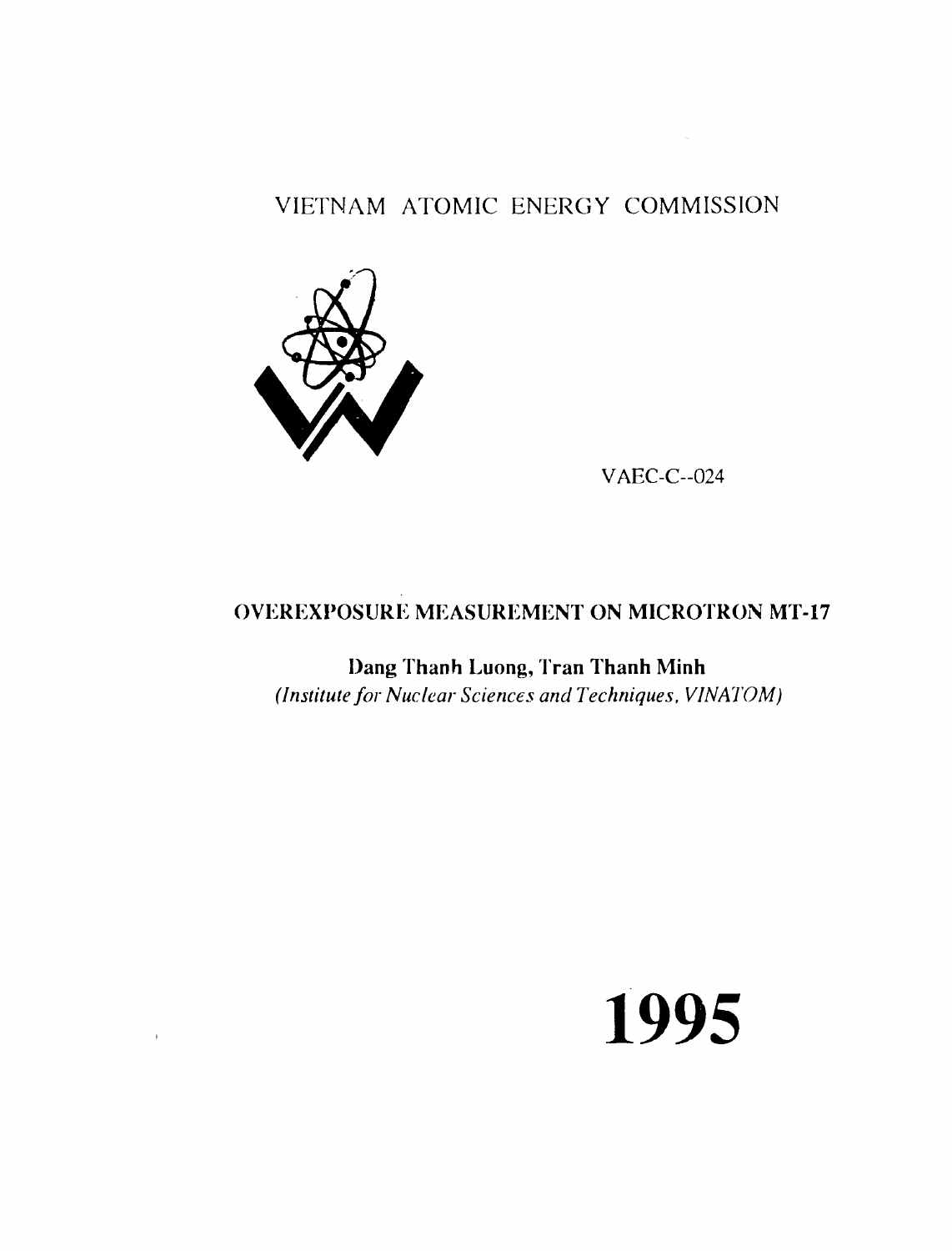# VIETNAM ATOMIC ENERGY COMMISSION



 $\bar{1}$ 

VAEC-C--024

 $\sim 800$ 

# OVEREXPOSURE MEASUREMENT ON MICROTRON MT-17

Dang Thanh Luong, Tran Thanh Minh *(Institute for Nuclear Sciences and Techniques, VINATOM)* 

# **1995**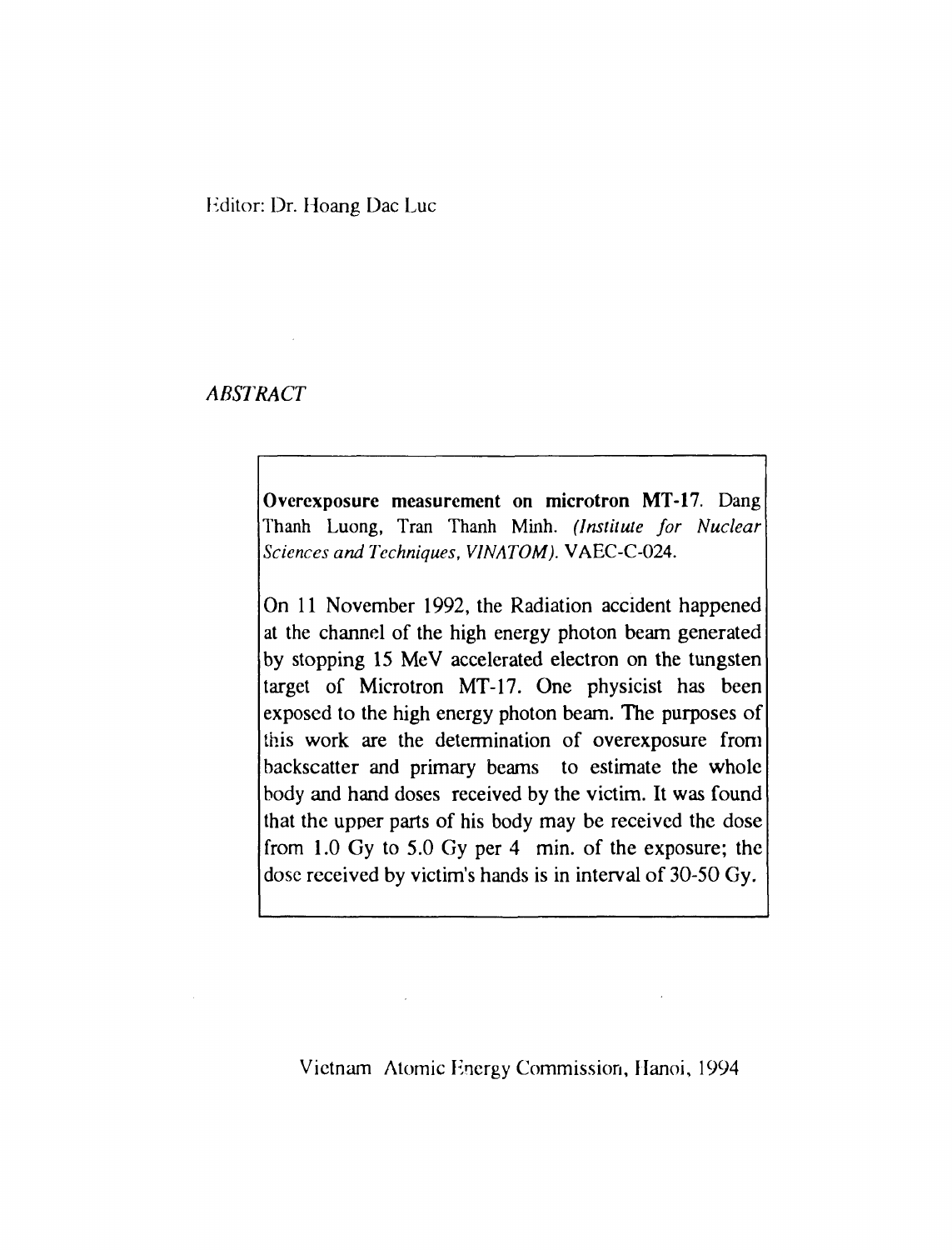### Hditor: Dr. Hoang Dae Luc

## *ABSTRACT*

Overexposure measurement on microtron MT-17. Dang Thanh Luong, Tran Thanh Minh. *(Institute for Nuclear Sciences and Techniques, VINATOM).* VAEC-C-024.

On 11 November 1992, the Radiation accident happened at the channel of the high energy photon beam generated by stopping 15 MeV accelerated electron on the tungsten target of Microtron MT-17. One physicist has been exposed to the high energy photon beam. The purposes of this work are the determination of overexposure from backscatter and primary beams to estimate the whole body and hand doses received by the victim. It was found that the upper parts of his body may be received the dose from 1.0 Gy to 5.0 Gy per 4 min. of the exposure; the dose received by victim's hands is in interval of 30-50 Gy.

Vietnam Atomic Hnergy Commission, Hanoi, 1994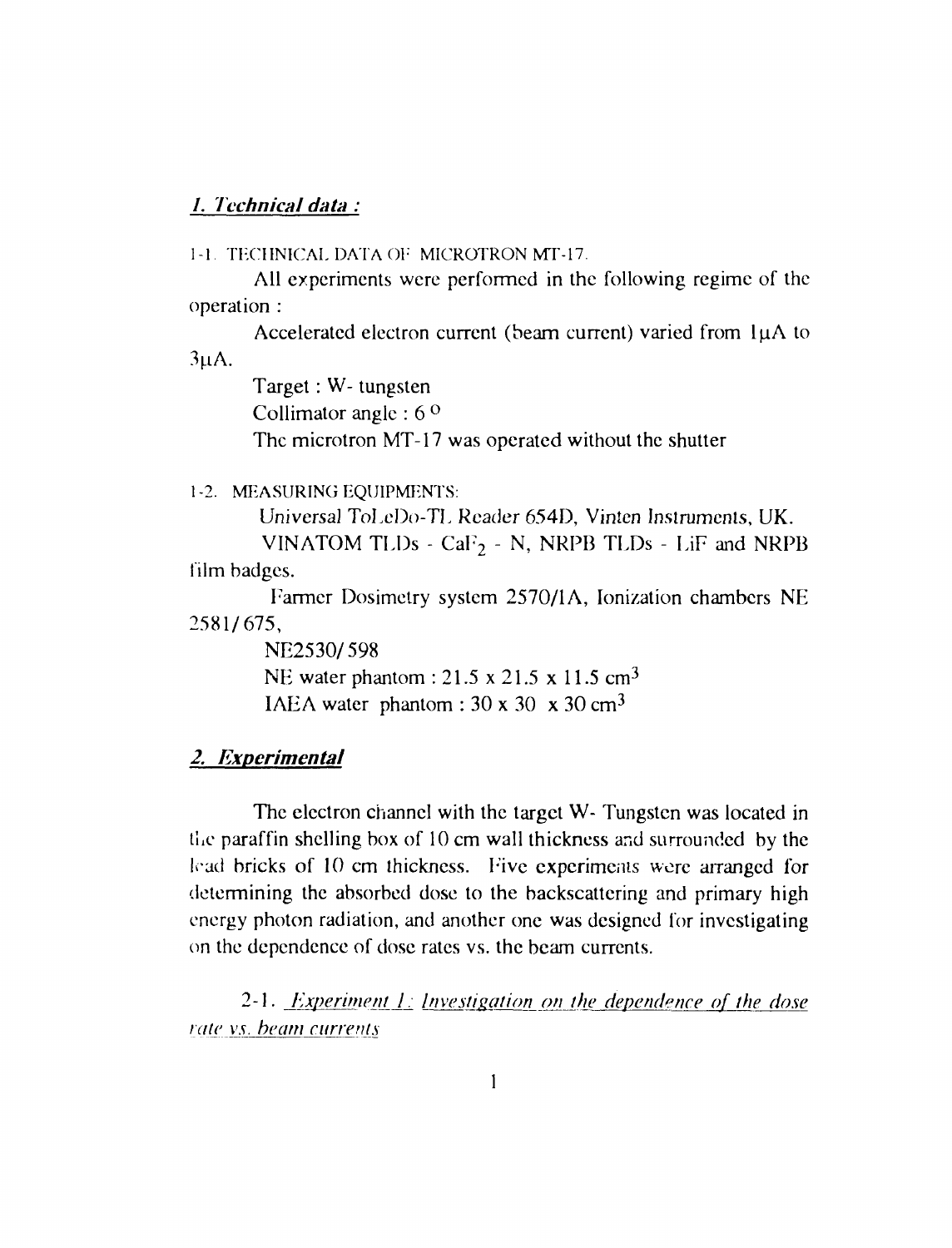### **/.** *Technical data :*

1-1 TECHNICAL DATA OI" MICROTRON MT-17.

All experiments were performed in the following regime of the operation :

Accelerated electron current (beam current) varied from 1µA to  $3<sub>u</sub>A$ .

> Target: W- tungsten Collimator angle : 6 ° The microtron MT-17 was operated without the shutter

1-2. MEASURING EQUIPMENTS:

Universal ToLeDo-TL Reader 654D, Vinten Instruments, UK.

VINATOM TLDs -  $CaF_2$  - N, NRPB TLDs - LiF and NRPB film badges.

Farmer Dosimetry system 2570/1A, Ionization chambers NE 2581/675,

> NE2530/598 NE water phantom : 21.5 x 21.5 x 11.5 cm<sup>3</sup> IAEA water phantom :  $30 \times 30 \times 30$  cm<sup>3</sup>

## *2. Experimental*

The electron channel with the target W- Tungsten was located in the paraffin shelling box of 10 cm wall thickness and surrounded by the lead bricks of 10 cm thickness. F'ive experiments were arranged for determining the absorbed dose to the backscattering and primary high energy photon radiation, and another one was designed for investigating on the dependence of dose rates vs. the beam currents.

2-1. *Experiment 1: Investigation on the dependence of the dose rate vs. beam currents*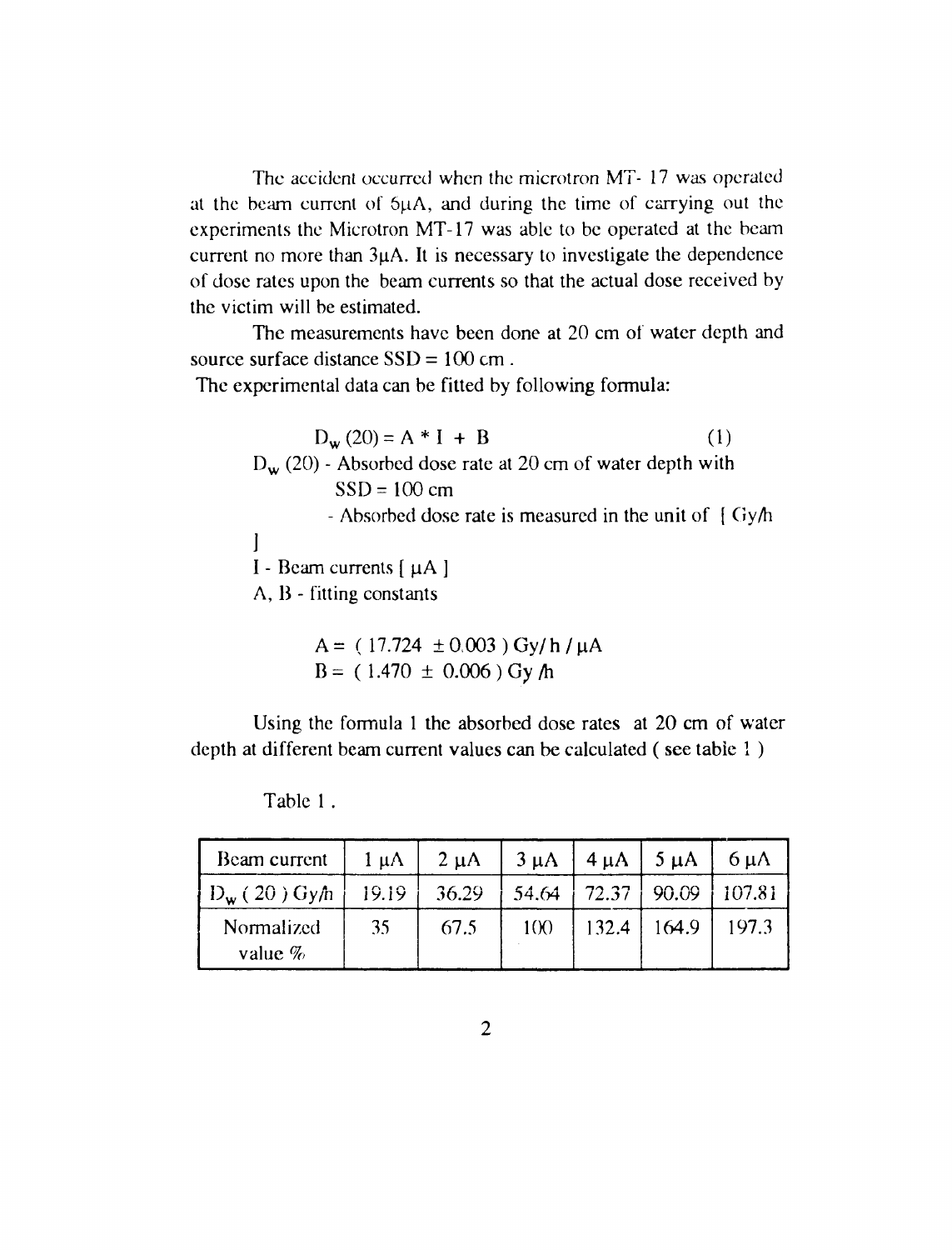The accident occurred when the microtron MT- 17 was operated at the beam current of  $5\mu A$ , and during the time of carrying out the experiments the Microtron MT-17 was able to be operated at the beam current no more than 3uA. It is necessary to investigate the dependence of dose rates upon the beam currents so that the actual dose received by the victim will be estimated.

The measurements have been done at 20 cm of water depth and source surface distance SSD = 100 cm .

The experimental data can be fitted by following formula:

 $D_w(20) = A * I + B$  (1)  $D_w$  (20) - Absorbed dose rate at 20 cm of water depth with  $SSD = 100$  cm - Absorbed dose rate is measured in the unit of [ Gy/h  $\vert$ I - Beam currents  $\lceil \mu A \rceil$ A, B - fitting constants

$$
A = (17.724 \pm 0.003) \text{ Gy/h / } \mu\text{A}
$$
  
B = (1.470 \pm 0.006) Gy/h

Using the formula 1 the absorbed dose rates at 20 cm of water depth at different beam current values can be calculated ( see table 1 )

| Beam current                      | $1 \mu A$ | $2 \mu A$ | $3 \mu A$ | $4 \mu A$ | $5 \mu A$ | $6 \mu A$ |
|-----------------------------------|-----------|-----------|-----------|-----------|-----------|-----------|
| $ D_{\mathbf{w}}(20) G$ y $\hbar$ | 19.19     | 36.29     | 54.64     | 72.37     | 90.09     | 107.81    |
| Normalized<br>value $\%$          | 35        | 67.5      | 100       | 132.4     | 164.9     | 197.3     |

Table 1 .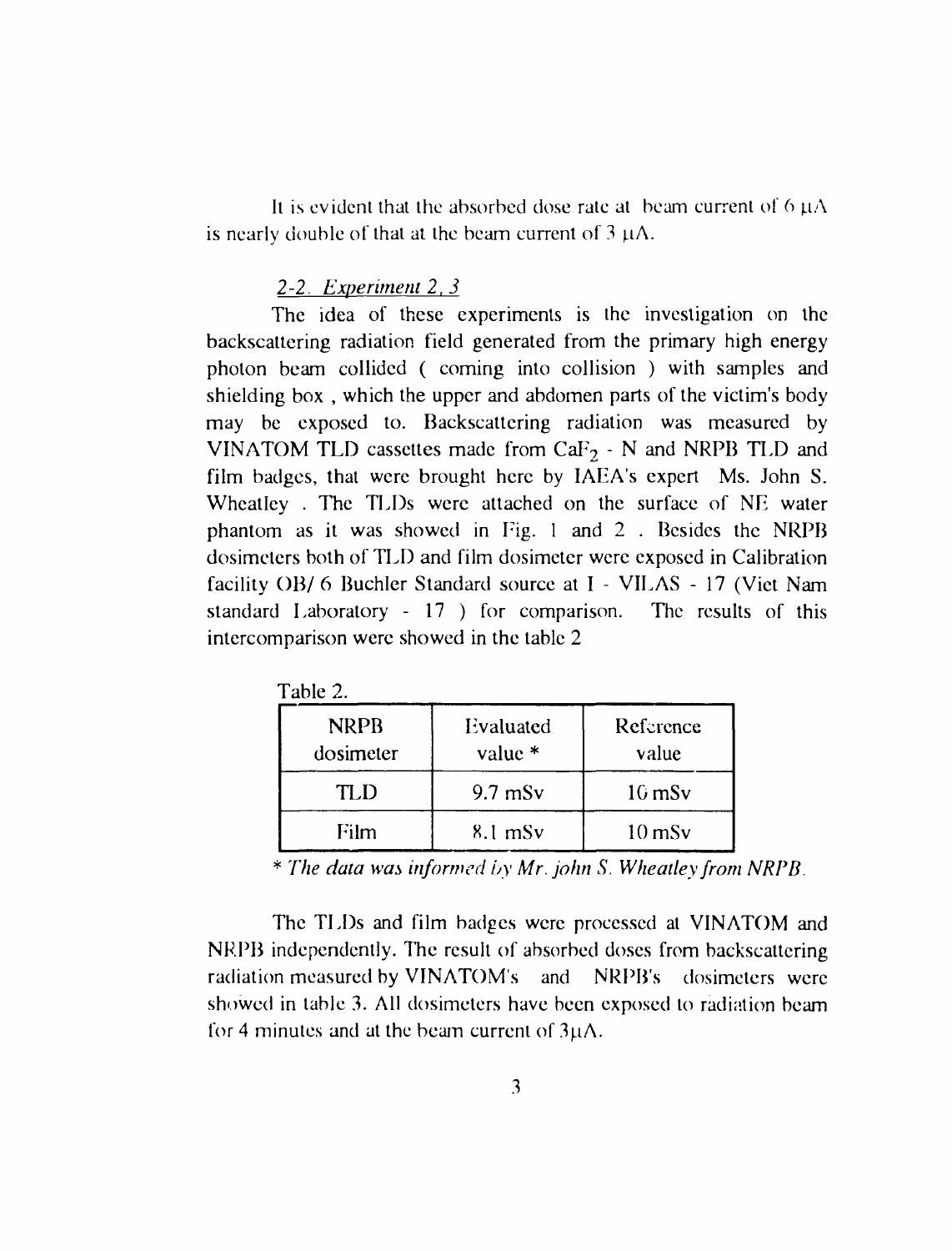It is evident that the absorbed dose rate at beam current of  $6 \mu A$ is nearly double of that at the beam current of  $3 \mu A$ .

#### *2-2. Experiment 2*, *3*

The idea of these experiments is the investigation on the backscattering radiation field generated from the primary high energy photon beam collided ( coming into collision ) with samples and shielding box , which the upper and abdomen parts of the victim's body may be exposed to. Backscattering radiation was measured by VINATOM TLD cassettes made from  $CaF<sub>2</sub> - N$  and NRPB TLD and film badges, that were brought here by IAEA's expert Ms. John S. Wheatley . The TLDs were attached on the surface of NE water phantom as it was showed in Fig. 1 and 2 . Besides the NRPB dosimeters both of TLD and film dosimeter were exposed in Calibration facility OB/ 6 Buchler Standard source at I - VILAS - 17 (Viet Nam standard Laboratory - 17 ) for comparison. The results of this intercomparison were showed in the table 2

| <b>NRPB</b><br>dosimeter | Evaluated<br>value $*$ | Reference<br>value  |  |
|--------------------------|------------------------|---------------------|--|
| TLD                      | $9.7$ mSv              | $16$ mS $v$         |  |
| Film                     | $8.1$ mS $v$           | $10 \,\mathrm{mSv}$ |  |

Table 2.

\* *The data was informed by Mr. John S. Wheatley from NRPB.* 

The TLDs and film badges were processed at VINATOM and NRPB independently. The result of absorbed doses from backscattering radiation measured by VINATOM's and NRPB's dosimeters were showed in table 3. All dosimeters have been exposed to radiation beam for 4 minutes and at the beam current of  $3\mu\Lambda$ .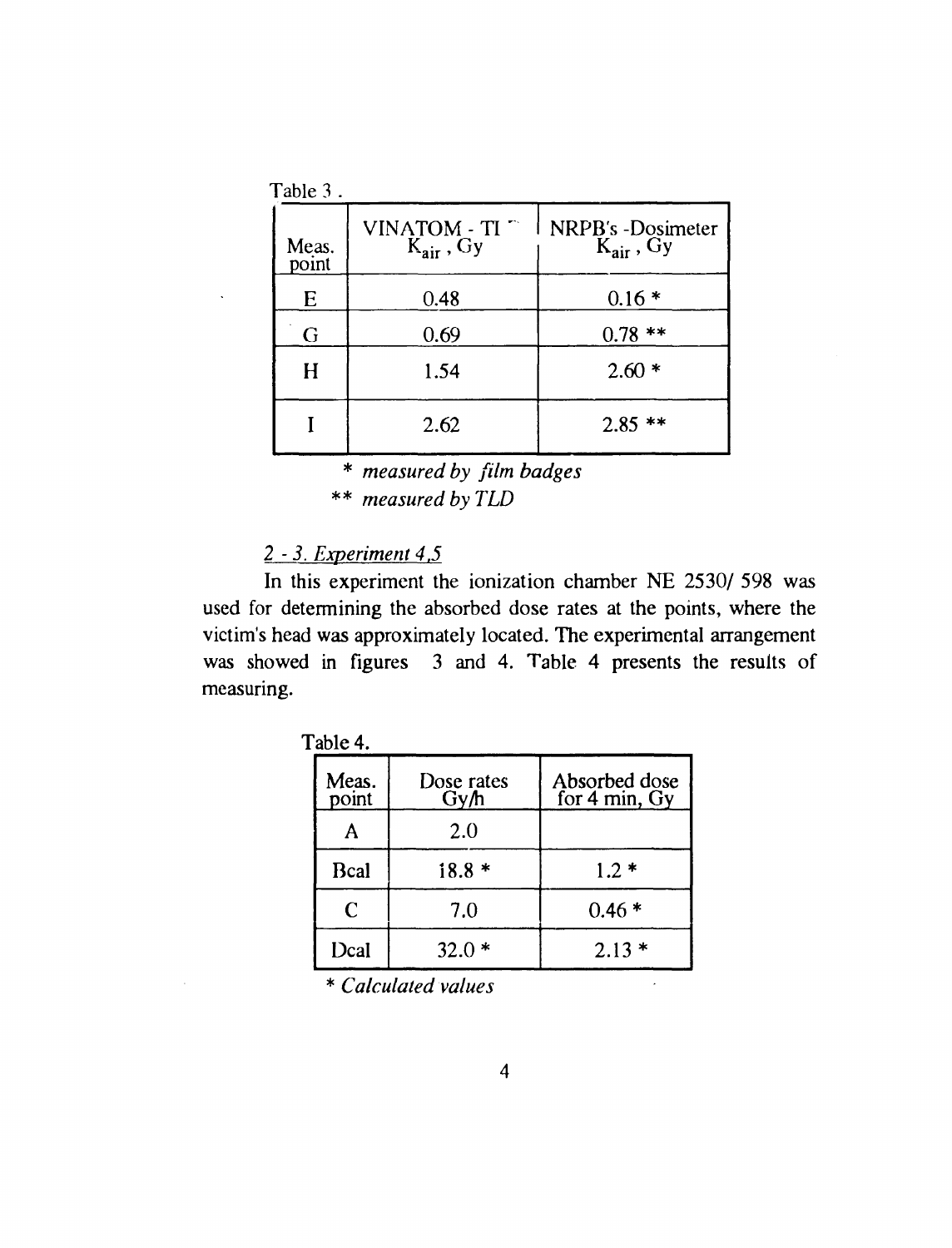| Table 3.       |                                         |                                                 |  |  |
|----------------|-----------------------------------------|-------------------------------------------------|--|--|
| Meas.<br>point | $VINATOR - TI$<br>$K_{\text{air}}$ , Gy | NRPB's -Dosimeter<br>$\widetilde{K_{air}}$ , Gy |  |  |
| E              | 0.48                                    | $0.16*$                                         |  |  |
| G              | 0.69                                    | $0.78$ **                                       |  |  |
| H              | 1.54                                    | $2.60*$                                         |  |  |
|                | 2.62                                    | $2.85$ **                                       |  |  |

<sup>\*</sup> *measured by film badges*  \*\* *measured by TLD* 

# *2 - 3. Experiment 4.5*

In this experiment the ionization chamber NE 2530/ 598 was used for determining the absorbed dose rates at the points, where the victim's head was approximately located. The experimental arrangement was showed in figures 3 and 4. Table 4 presents the results of measuring.

| 1 ADIC 4.      |                    |                                |  |  |
|----------------|--------------------|--------------------------------|--|--|
| Meas.<br>point | Dose rates<br>Gy/h | Absorbed dose<br>for 4 min, Gy |  |  |
|                | 2.0                |                                |  |  |
| Bcal           | $18.8*$            | $1.2*$                         |  |  |
| C              | 7.0                | $0.46*$                        |  |  |
| Dcal           | $32.0*$            | $2.13*$                        |  |  |

Table 4.

\* *Calculated values* 

 $\mathbb{R}^2$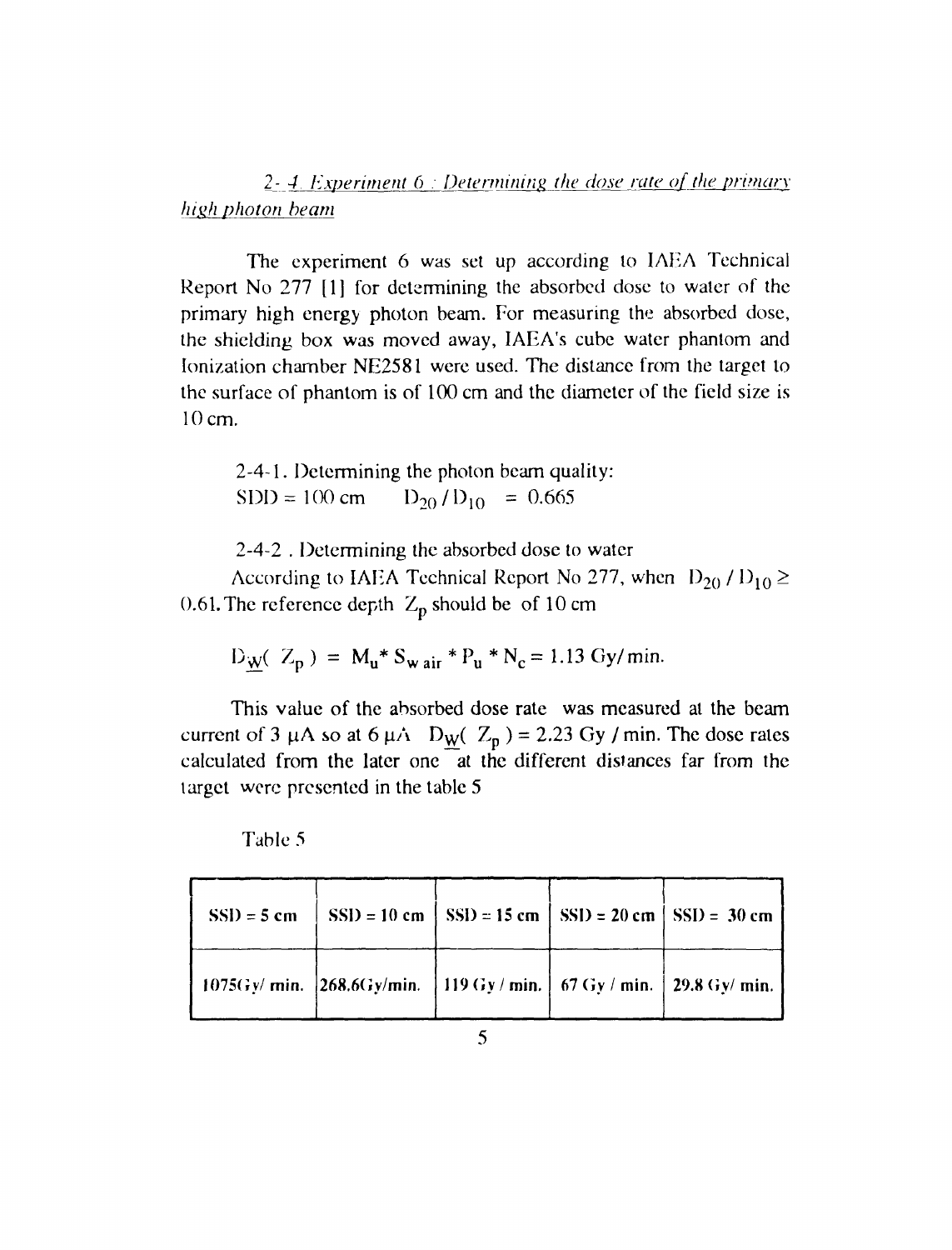2- 4. Experiment 6 : Determining the dose rate of the primary *high photon beam* 

The experiment 6 was set up according to IAEA Technical Report No 277 [1] for determining the absorbed dose to water of the primary high energy photon beam. For measuring the absorbed dose, the shielding box was moved away, IAEA's cube water phantom and Ionization chamber NE2581 were used. The distance from the target to the surface of phantom is of 100 cm and the diameter of the field size is 10 cm.

2-4-1. Determining the photon beam quality:  $SDD = 100 \text{ cm}$   $D_{20}/D_{10} = 0.665$ 

2-4-2 . Determining the absorbed dose to water

According to IAEA Technical Report No 277, when  $D_{20} / D_{10} \ge$ 0.61. The reference depth  $Z_p$  should be of 10 cm

$$
D_W(Z_p) = M_u * S_{wair} * P_u * N_c = 1.13 \text{ Gy/min.}
$$

This value of the absorbed dose rate was measured at the beam current of 3  $\mu$ A so at 6  $\mu$ A D<sub>W</sub>( Z<sub>p</sub>) = 2.23 Gy / min. The dose rates calculated from the later one at the different distances far from the target were presented in the table 5

| $SSD = 5$ cm |                                                                  | $SSD = 10$ cm $\left[ SSD = 15$ cm $\left[ SSD = 20$ cm $\left[ SSD = 30$ cm |  |
|--------------|------------------------------------------------------------------|------------------------------------------------------------------------------|--|
|              | 1075Gy/ min. 268.6Gy/min. 119 Gy/ min. 67 Gy/ min. 29.8 Gy/ min. |                                                                              |  |

Table 5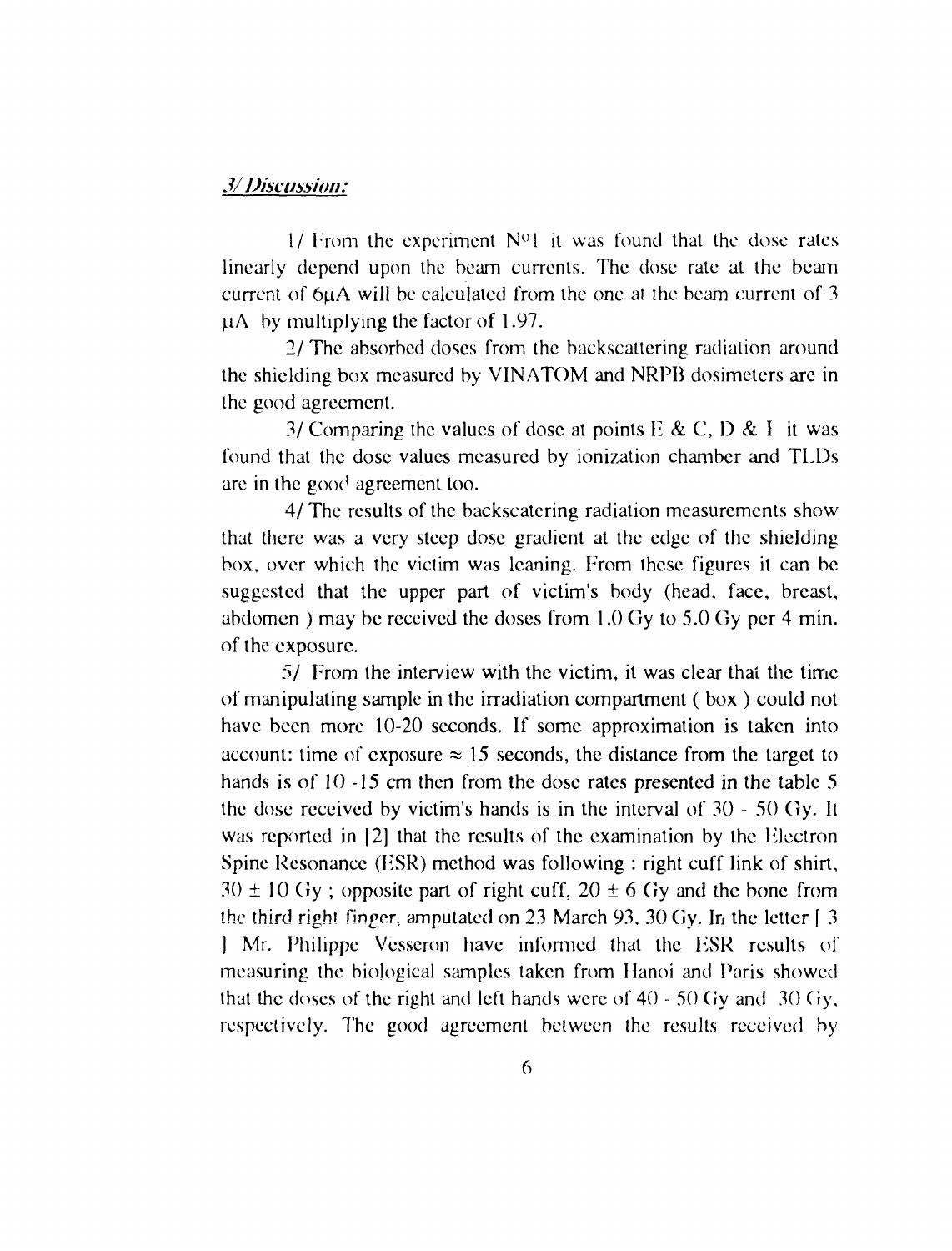### *3/ Discussion:*

 $1/$  From the experiment  $N^{\circ}1$  it was found that the dose rates linearly depend upon the beam currents. The dose rate at the beam current of 6uA will be calculated from the one at the beam current of 3  $\mu$ A by multiplying the factor of 1.97.

2/ The absorbed doses from the backscattering radiation around the shielding box measured by VINATOM and NRPB dosimeters are in the good agreement.

3/ Comparing the values of dose at points  $E \& C$ ,  $D \& I$  it was found that the dose values measured by ionization chamber and TLDs are in the good agreement too.

4/ The results of the backscatering radiation measurements show that there was a very steep dose gradient at the edge of the shielding box, over which the victim was leaning. From these figures it can be suggested that the upper part of victim's body (head, face, breast, abdomen ) may be received the doses from 1.0 Gy to 5.0 Gy per 4 min. of the exposure.

5/ From the interview with the victim, it was clear that the time of manipulating sample in the irradiation compartment ( box ) could not have been more 10-20 seconds. If some approximation is taken into account: time of exposure  $\approx 15$  seconds, the distance from the target to hands is of 10 -15 cm then from the dose rates presented in the table 5 the dose received by victim's hands is in the interval of 30 - 50 Gy. It was reported in [2] that the results of the examination by the Electron Spine Resonance (ESR) method was following : right cuff link of shirt,  $30 \pm 10$  Gy; opposite part of right cuff,  $20 \pm 6$  Gy and the bone from the third right finger, amputated on 23 March 93, 30 Gy. In the letter  $\lceil 3 \rceil$ J Mr. Philippe Vcsseron have informed that the HSR results of measuring the biological samples taken from Hanoi and Paris showed that the doses of the right and left hands were of 40 - 50 Gy and 30 Gy, respectively. The good agreement between the results received by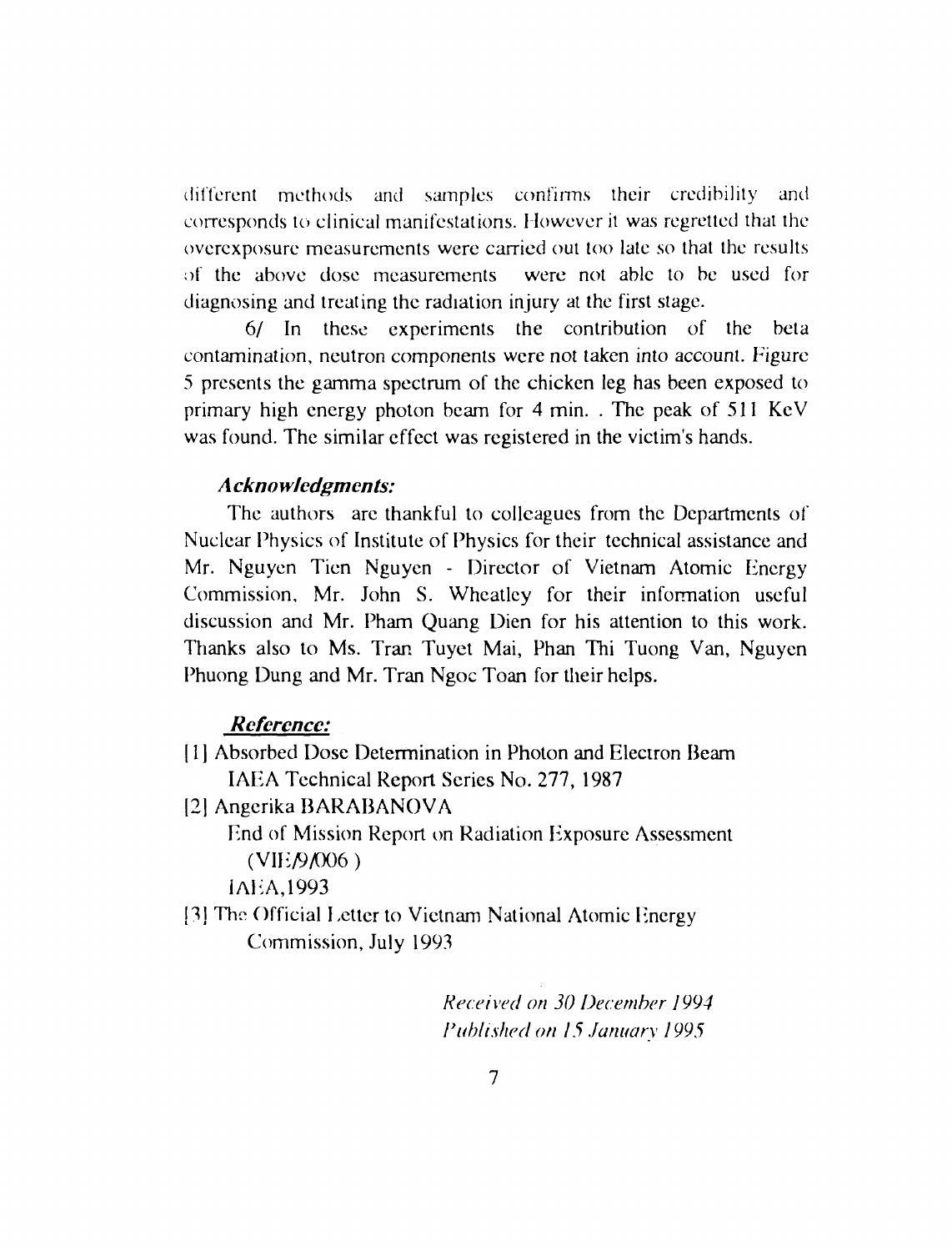different methods and samples confirms their credibility and corresponds to clinical manifestations. However it was regretted that the overexposure measurements were carried out too late so that the results of the above dose measurements were not able to be used for diagnosing and treating the radiation injury at the first stage.

6/ In these experiments the contribution of the beta contamination, neutron components were not taken into account. Figure 5 presents the gamma spectrum of the chicken leg has been exposed to primary high energy photon beam for 4 min. . The peak of 511 KeV was found. The similar effect was registered in the victim's hands.

## *A ckno wlcdgmcnts:*

The authors are thankful to colleagues from the Departments of Nuclear Physics of Institute of Physics for their technical assistance and Mr. Nguyen Tien Nguyen - Director of Vietnam Atomic Energy Commission, Mr. John S. Wheatley for their information useful discussion and Mr. Pham Quang Dien for his attention to this work. Thanks also to Ms. Tran Tuyet Mai, Phan Thi Tuong Van, Nguyen Phuong Dung and Mr. Tran Ngoc Toan for their helps.

#### *Reference:*

- [ 1 ] Absorbed Dose Determination in Photon and Electron Beam IAEA Technical Report Series No. 277, 1987
- [2] Angerika BARABANOVA

End of Mission Report on Radiation Exposure Assessment  $(VIE/9/006)$ 

JAEA,1993

<sup>[3]</sup> The Official Letter to Vietnam National Atomic Energy Commission, July 1993

> *Received on 30 December 1994 Published on 15 January 1995*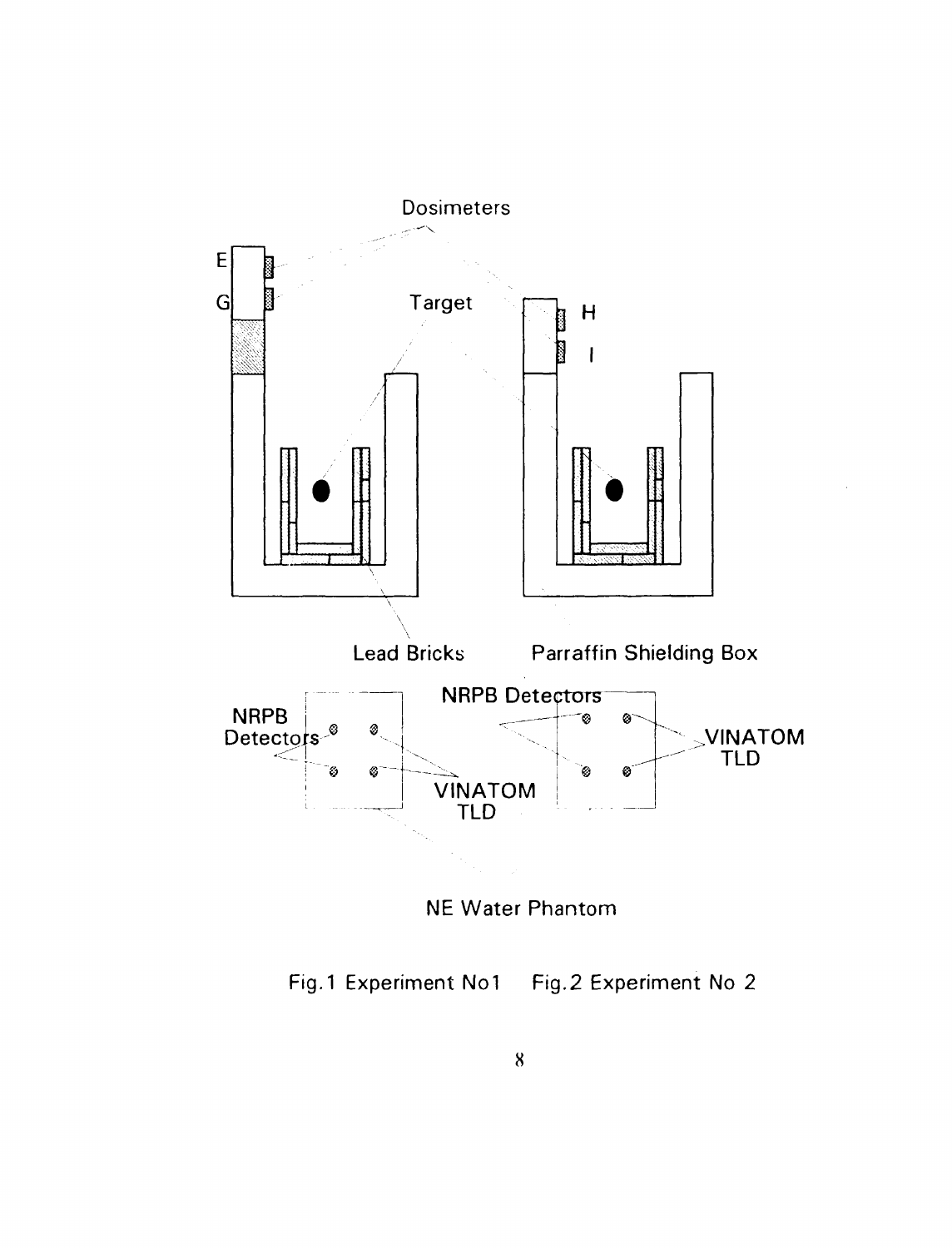

NE Water Phantom

Fig. 1 Experiment No1 Fig.2 Experiment No 2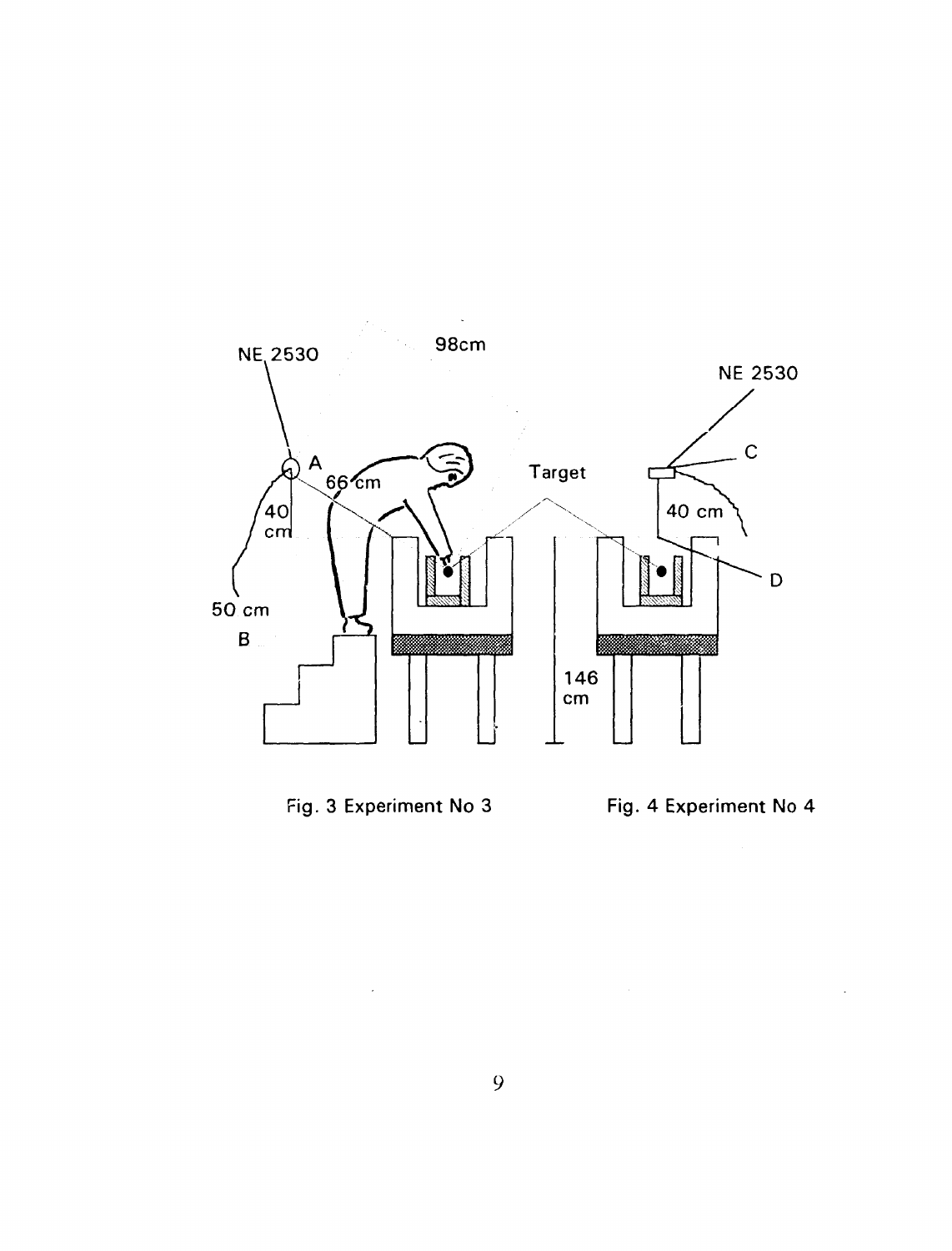





 $\sim$   $\sim$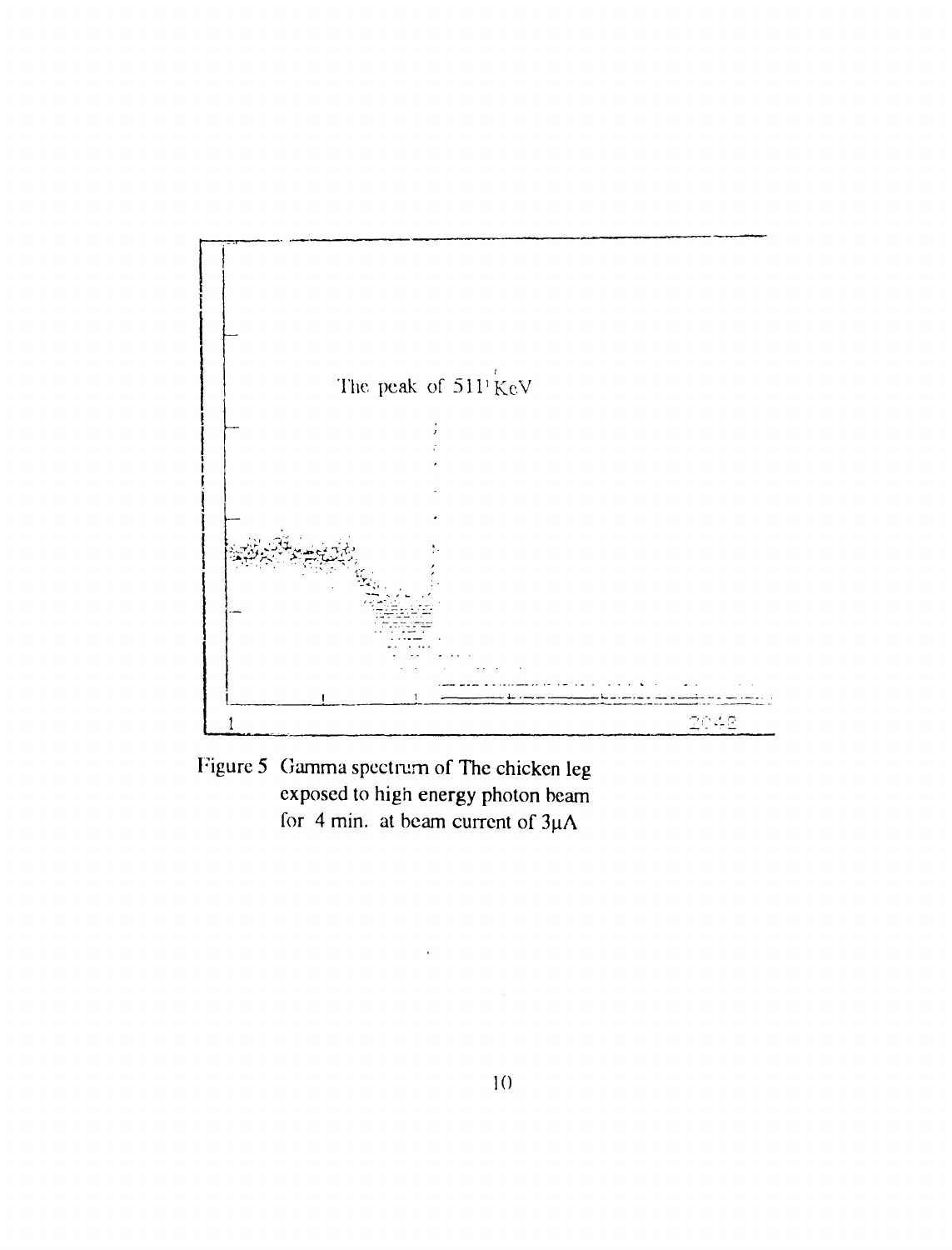

Figure 5 Gamma spectrum of The chicken leg exposed to high energy photon beam for 4 min. at beam current of  $3\mu A$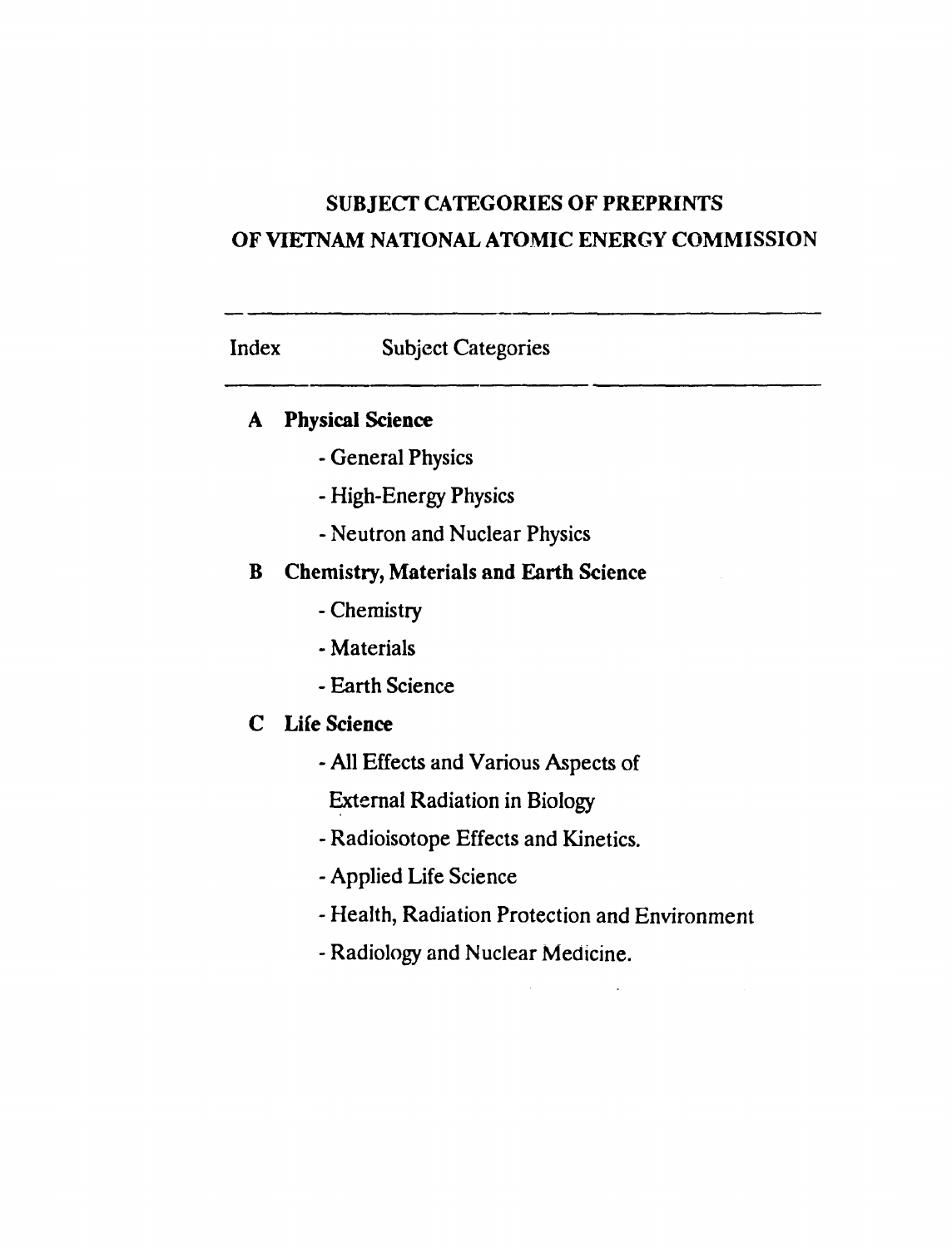# SUBJECT CATEGORIES OF PREPRINTS OF VIETNAM NATIONAL ATOMIC ENERGY COMMISSION

# Index Subject Categories

## **A Physical Science**

- General Physics
- High-Energy Physics
- Neutron and Nuclear Physics

## B Chemistry, Materials and Earth Science

- Chemistry
- Materials
- Earth Science

## C Life **Science**

- All Effects and Various Aspects of

External Radiation in Biology

- Radioisotope Effects and Kinetics.
- Applied Life Science
- Health, Radiation Protection and Environment
- Radiology and Nuclear Medicine.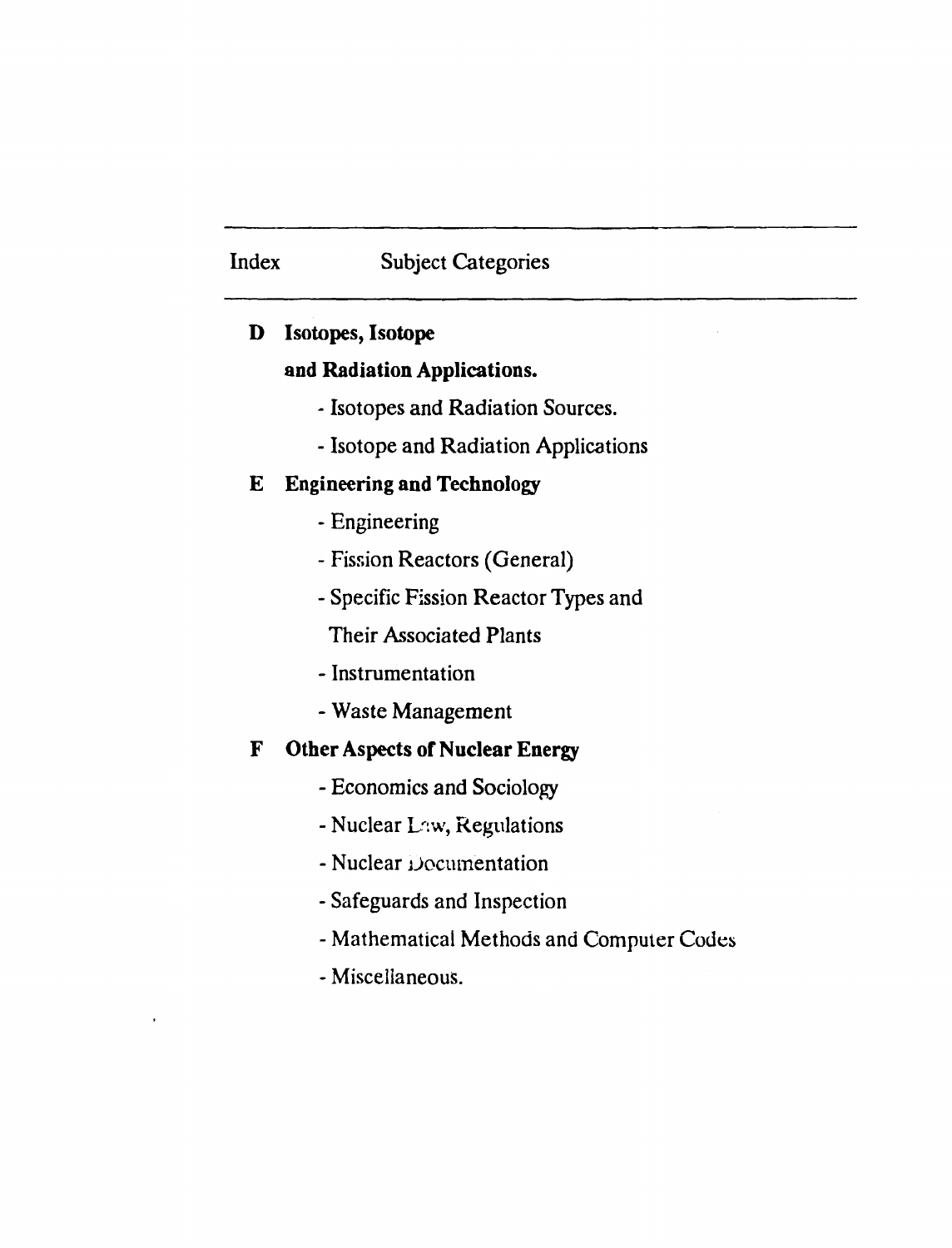# Index Subject Categories

# **D Isotopes, Isotope**

# **and Radiation Applications.**

- Isotopes and Radiation Sources.
- Isotope and Radiation Applications

# **E Engineering and Technology**

- Engineering
- Fission Reactors (General)
- Specific Fission Reactor Types and

Their Associated Plants

- Instrumentation
- Waste Management

# **F Other Aspects of Nuclear Energy**

- Economics and Sociology
- Nuclear Liw, Regulations
- Nuclear iJocumentation
- Safeguards and Inspection
- Mathematical Methods and Computer Codes
- Miscellaneous.